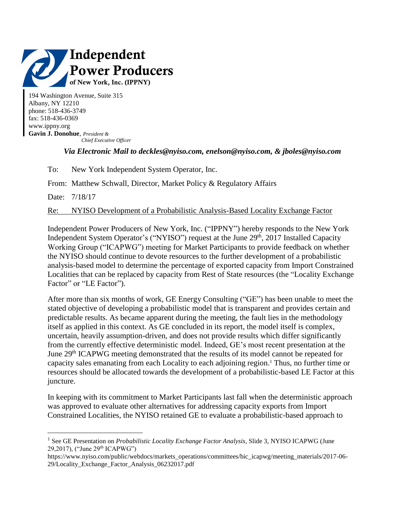

194 Washington Avenue, Suite 315 Albany, NY 12210 phone: 518-436-3749 fax: 518-436-0369 www.ippny.org **Gavin J. Donohue**, *President &*

 *Chief Executive Officer*

## *Via Electronic Mail to deckles@nyiso.com, enelson@nyiso.com, & jboles@nyiso.com*

To: New York Independent System Operator, Inc.

From: Matthew Schwall, Director, Market Policy & Regulatory Affairs

Date: 7/18/17

 $\overline{a}$ 

Re: NYISO Development of a Probabilistic Analysis-Based Locality Exchange Factor

Independent Power Producers of New York, Inc. ("IPPNY") hereby responds to the New York Independent System Operator's ("NYISO") request at the June 29<sup>th</sup>, 2017 Installed Capacity Working Group ("ICAPWG") meeting for Market Participants to provide feedback on whether the NYISO should continue to devote resources to the further development of a probabilistic analysis-based model to determine the percentage of exported capacity from Import Constrained Localities that can be replaced by capacity from Rest of State resources (the "Locality Exchange Factor" or "LE Factor").

After more than six months of work, GE Energy Consulting ("GE") has been unable to meet the stated objective of developing a probabilistic model that is transparent and provides certain and predictable results. As became apparent during the meeting, the fault lies in the methodology itself as applied in this context. As GE concluded in its report, the model itself is complex, uncertain, heavily assumption-driven, and does not provide results which differ significantly from the currently effective deterministic model. Indeed, GE's most recent presentation at the June 29<sup>th</sup> ICAPWG meeting demonstrated that the results of its model cannot be repeated for capacity sales emanating from each Locality to each adjoining region. <sup>1</sup> Thus, no further time or resources should be allocated towards the development of a probabilistic-based LE Factor at this juncture.

In keeping with its commitment to Market Participants last fall when the deterministic approach was approved to evaluate other alternatives for addressing capacity exports from Import Constrained Localities, the NYISO retained GE to evaluate a probabilistic-based approach to

<sup>&</sup>lt;sup>1</sup> See GE Presentation on *Probabilistic Locality Exchange Factor Analysis*, Slide 3, NYISO ICAPWG (June 29,2017), ("June 29th ICAPWG")

https://www.nyiso.com/public/webdocs/markets\_operations/committees/bic\_icapwg/meeting\_materials/2017-06-29/Locality\_Exchange\_Factor\_Analysis\_06232017.pdf